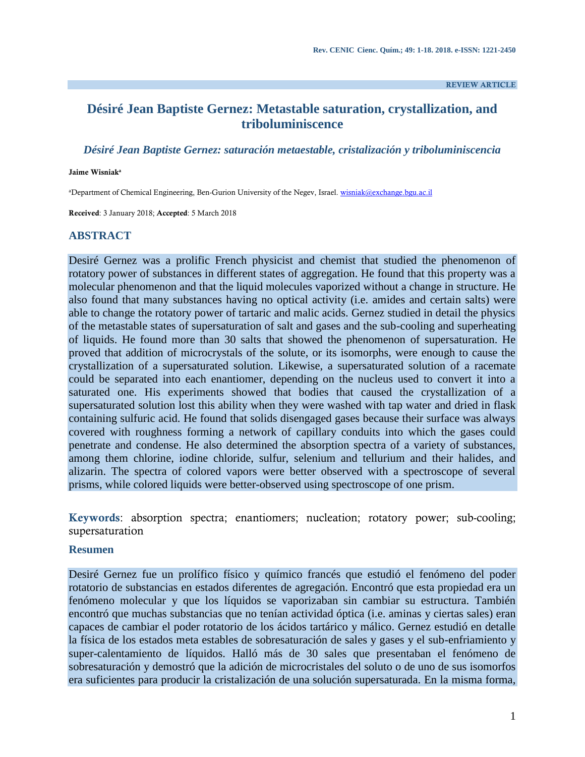**REVIEW ARTICLE**

# **Désiré Jean Baptiste Gernez: Metastable saturation, crystallization, and triboluminiscence**

*Désiré Jean Baptiste Gernez: saturación metaestable, cristalización y triboluminiscencia*

#### **Jaime Wisniak<sup>a</sup>**

<sup>a</sup>Department of Chemical Engineering, Ben-Gurion University of the Negev, Israel[. wisniak@exchange.bgu.ac.il](mailto:wisniak@bgu.ac.il)

**Received**: 3 January 2018; **Accepted**: 5 March 2018

#### **ABSTRACT**

Desiré Gernez was a prolific French physicist and chemist that studied the phenomenon of rotatory power of substances in different states of aggregation. He found that this property was a molecular phenomenon and that the liquid molecules vaporized without a change in structure. He also found that many substances having no optical activity (i.e. amides and certain salts) were able to change the rotatory power of tartaric and malic acids. Gernez studied in detail the physics of the metastable states of supersaturation of salt and gases and the sub-cooling and superheating of liquids. He found more than 30 salts that showed the phenomenon of supersaturation. He proved that addition of microcrystals of the solute, or its isomorphs, were enough to cause the crystallization of a supersaturated solution. Likewise, a supersaturated solution of a racemate could be separated into each enantiomer, depending on the nucleus used to convert it into a saturated one. His experiments showed that bodies that caused the crystallization of a supersaturated solution lost this ability when they were washed with tap water and dried in flask containing sulfuric acid. He found that solids disengaged gases because their surface was always covered with roughness forming a network of capillary conduits into which the gases could penetrate and condense. He also determined the absorption spectra of a variety of substances, among them chlorine, iodine chloride, sulfur, selenium and tellurium and their halides, and alizarin. The spectra of colored vapors were better observed with a spectroscope of several prisms, while colored liquids were better-observed using spectroscope of one prism.

**Keywords**: absorption spectra; enantiomers; nucleation; rotatory power; sub-cooling; supersaturation

#### **Resumen**

Desiré Gernez fue un prolífico físico y químico francés que estudió el fenómeno del poder rotatorio de substancias en estados diferentes de agregación. Encontró que esta propiedad era un fenómeno molecular y que los líquidos se vaporizaban sin cambiar su estructura. También encontró que muchas substancias que no tenían actividad óptica (i.e. aminas y ciertas sales) eran capaces de cambiar el poder rotatorio de los ácidos tartárico y málico. Gernez estudió en detalle la física de los estados meta estables de sobresaturación de sales y gases y el sub-enfriamiento y super-calentamiento de líquidos. Halló más de 30 sales que presentaban el fenómeno de sobresaturación y demostró que la adición de microcristales del soluto o de uno de sus isomorfos era suficientes para producir la cristalización de una solución supersaturada. En la misma forma,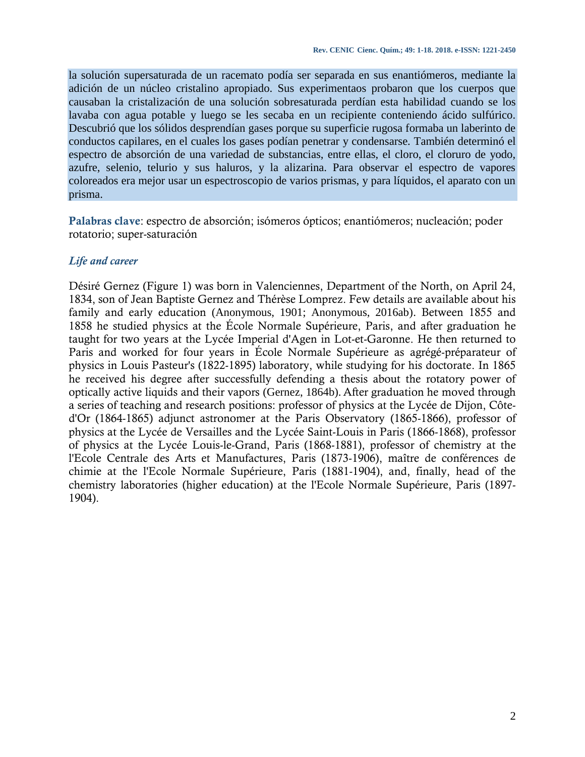la solución supersaturada de un racemato podía ser separada en sus enantiómeros, mediante la adición de un núcleo cristalino apropiado. Sus experimentaos probaron que los cuerpos que causaban la cristalización de una solución sobresaturada perdían esta habilidad cuando se los lavaba con agua potable y luego se les secaba en un recipiente conteniendo ácido sulfúrico. Descubrió que los sólidos desprendían gases porque su superficie rugosa formaba un laberinto de conductos capilares, en el cuales los gases podían penetrar y condensarse. También determinó el espectro de absorción de una variedad de substancias, entre ellas, el cloro, el cloruro de yodo, azufre, selenio, telurio y sus haluros, y la alizarina. Para observar el espectro de vapores coloreados era mejor usar un espectroscopio de varios prismas, y para líquidos, el aparato con un prisma.

**Palabras clave**: espectro de absorción; isómeros ópticos; enantiómeros; nucleación; poder rotatorio; super-saturación

# *Life and career*

Désiré Gernez (Figure 1) was born in Valenciennes, Department of the North, on April 24, 1834, son of Jean Baptiste Gernez and Thérèse Lomprez. Few details are available about his family and early education (Anonymous, 1901; Anonymous, 2016ab). Between 1855 and 1858 he studied physics at the École Normale Supérieure, Paris, and after graduation he taught for two years at the Lycée Imperial d'Agen in Lot-et-Garonne. He then returned to Paris and worked for four years in École Normale Supérieure as agrégé-préparateur of physics in Louis Pasteur's (1822-1895) laboratory, while studying for his doctorate. In 1865 he received his degree after successfully defending a thesis about the rotatory power of optically active liquids and their vapors (Gernez, 1864b). After graduation he moved through a series of teaching and research positions: professor of physics at the Lycée de Dijon, Côted'Or (1864-1865) adjunct astronomer at the Paris Observatory (1865-1866), professor of physics at the Lycée de Versailles and the Lycée Saint-Louis in Paris (1866-1868), professor of physics at the Lycée Louis-le-Grand, Paris (1868-1881), professor of chemistry at the l'Ecole Centrale des Arts et Manufactures, Paris (1873-1906), maître de conférences de chimie at the l'Ecole Normale Supérieure, Paris (1881-1904), and, finally, head of the chemistry laboratories (higher education) at the l'Ecole Normale Supérieure, Paris (1897- 1904).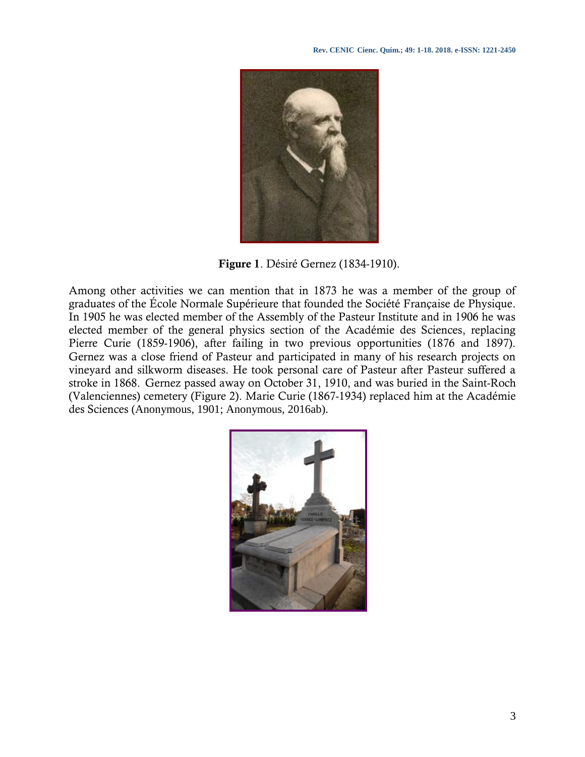

**Figure 1**. Désiré Gernez (1834-1910).

Among other activities we can mention that in 1873 he was a member of the group of graduates of the École Normale Supérieure that founded the Société Française de Physique. In 1905 he was elected member of the Assembly of the Pasteur Institute and in 1906 he was elected member of the general physics section of the Académie des Sciences, replacing Pierre Curie (1859-1906), after failing in two previous opportunities (1876 and 1897). Gernez was a close friend of Pasteur and participated in many of his research projects on vineyard and silkworm diseases. He took personal care of Pasteur after Pasteur suffered a stroke in 1868. Gernez passed away on October 31, 1910, and was buried in the Saint-Roch (Valenciennes) cemetery (Figure 2). Marie Curie (1867-1934) replaced him at the Académie des Sciences (Anonymous, 1901; Anonymous, 2016ab).

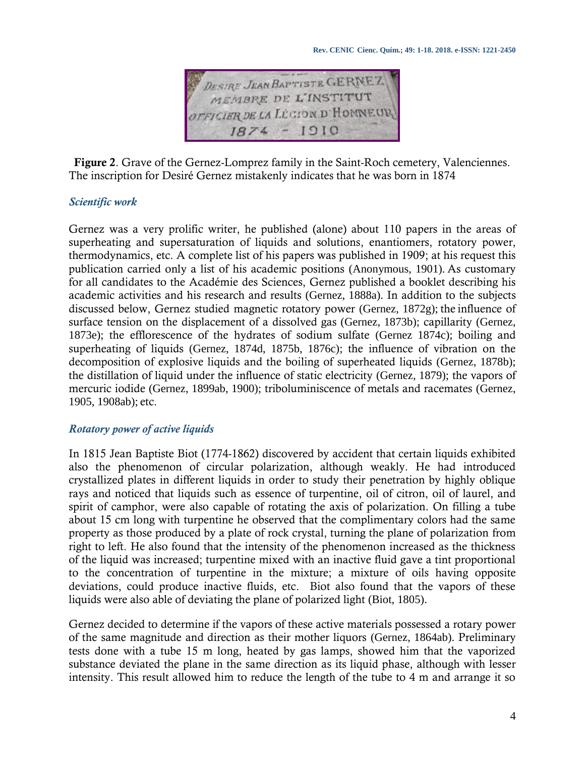

**Figure 2**. Grave of the Gernez-Lomprez family in the Saint-Roch cemetery, Valenciennes. The inscription for Desiré Gernez mistakenly indicates that he was born in 1874

# *Scientific work*

Gernez was a very prolific writer, he published (alone) about 110 papers in the areas of superheating and supersaturation of liquids and solutions, enantiomers, rotatory power, thermodynamics, etc. A complete list of his papers was published in 1909; at his request this publication carried only a list of his academic positions (Anonymous, 1901). As customary for all candidates to the Académie des Sciences, Gernez published a booklet describing his academic activities and his research and results (Gernez, 1888a). In addition to the subjects discussed below, Gernez studied magnetic rotatory power (Gernez, 1872g); the influence of surface tension on the displacement of a dissolved gas (Gernez, 1873b); capillarity (Gernez, 1873e); the efflorescence of the hydrates of sodium sulfate (Gernez 1874c); boiling and superheating of liquids (Gernez, 1874d, 1875b, 1876c); the influence of vibration on the decomposition of explosive liquids and the boiling of superheated liquids (Gernez, 1878b); the distillation of liquid under the influence of static electricity (Gernez, 1879); the vapors of mercuric iodide (Gernez, 1899ab, 1900); triboluminiscence of metals and racemates (Gernez, 1905, 1908ab); etc.

# *Rotatory power of active liquids*

In 1815 Jean Baptiste Biot (1774-1862) discovered by accident that certain liquids exhibited also the phenomenon of circular polarization, although weakly. He had introduced crystallized plates in different liquids in order to study their penetration by highly oblique rays and noticed that liquids such as essence of turpentine, oil of citron, oil of laurel, and spirit of camphor, were also capable of rotating the axis of polarization. On filling a tube about 15 cm long with turpentine he observed that the complimentary colors had the same property as those produced by a plate of rock crystal, turning the plane of polarization from right to left. He also found that the intensity of the phenomenon increased as the thickness of the liquid was increased; turpentine mixed with an inactive fluid gave a tint proportional to the concentration of turpentine in the mixture; a mixture of oils having opposite deviations, could produce inactive fluids, etc. Biot also found that the vapors of these liquids were also able of deviating the plane of polarized light (Biot, 1805).

Gernez decided to determine if the vapors of these active materials possessed a rotary power of the same magnitude and direction as their mother liquors (Gernez, 1864ab). Preliminary tests done with a tube 15 m long, heated by gas lamps, showed him that the vaporized substance deviated the plane in the same direction as its liquid phase, although with lesser intensity. This result allowed him to reduce the length of the tube to 4 m and arrange it so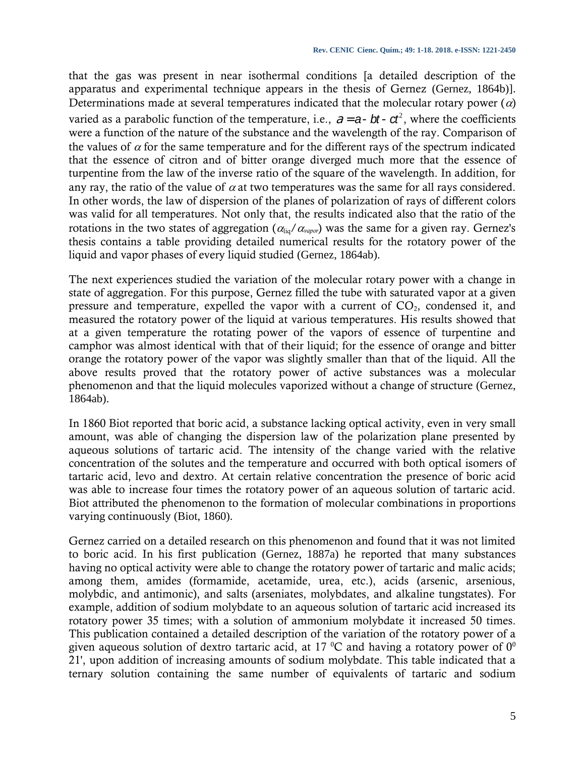that the gas was present in near isothermal conditions [a detailed description of the apparatus and experimental technique appears in the thesis of Gernez (Gernez, 1864b)]. Determinations made at several temperatures indicated that the molecular rotary power ( $\alpha$ ) varied as a parabolic function of the temperature, i.e.,  $a = a - bt - ct^2$ , where the coefficients were a function of the nature of the substance and the wavelength of the ray. Comparison of the values of  $\alpha$  for the same temperature and for the different rays of the spectrum indicated that the essence of citron and of bitter orange diverged much more that the essence of turpentine from the law of the inverse ratio of the square of the wavelength. In addition, for any ray, the ratio of the value of  $\alpha$  at two temperatures was the same for all rays considered. In other words, the law of dispersion of the planes of polarization of rays of different colors was valid for all temperatures. Not only that, the results indicated also that the ratio of the rotations in the two states of aggregation ( $\alpha_{\text{liq}}/\alpha_{\text{vapor}}$ ) was the same for a given ray. Gernez's thesis contains a table providing detailed numerical results for the rotatory power of the liquid and vapor phases of every liquid studied (Gernez, 1864ab).

The next experiences studied the variation of the molecular rotary power with a change in state of aggregation. For this purpose, Gernez filled the tube with saturated vapor at a given pressure and temperature, expelled the vapor with a current of  $CO<sub>2</sub>$ , condensed it, and measured the rotatory power of the liquid at various temperatures. His results showed that at a given temperature the rotating power of the vapors of essence of turpentine and camphor was almost identical with that of their liquid; for the essence of orange and bitter orange the rotatory power of the vapor was slightly smaller than that of the liquid. All the above results proved that the rotatory power of active substances was a molecular phenomenon and that the liquid molecules vaporized without a change of structure (Gernez, 1864ab).

In 1860 Biot reported that boric acid, a substance lacking optical activity, even in very small amount, was able of changing the dispersion law of the polarization plane presented by aqueous solutions of tartaric acid. The intensity of the change varied with the relative concentration of the solutes and the temperature and occurred with both optical isomers of tartaric acid, levo and dextro. At certain relative concentration the presence of boric acid was able to increase four times the rotatory power of an aqueous solution of tartaric acid. Biot attributed the phenomenon to the formation of molecular combinations in proportions varying continuously (Biot, 1860).

Gernez carried on a detailed research on this phenomenon and found that it was not limited to boric acid. In his first publication (Gernez, 1887a) he reported that many substances having no optical activity were able to change the rotatory power of tartaric and malic acids; among them, amides (formamide, acetamide, urea, etc.), acids (arsenic, arsenious, molybdic, and antimonic), and salts (arseniates, molybdates, and alkaline tungstates). For example, addition of sodium molybdate to an aqueous solution of tartaric acid increased its rotatory power 35 times; with a solution of ammonium molybdate it increased 50 times. This publication contained a detailed description of the variation of the rotatory power of a given aqueous solution of dextro tartaric acid, at 17  $^{\circ}$ C and having a rotatory power of 0<sup>0</sup> 21', upon addition of increasing amounts of sodium molybdate. This table indicated that a ternary solution containing the same number of equivalents of tartaric and sodium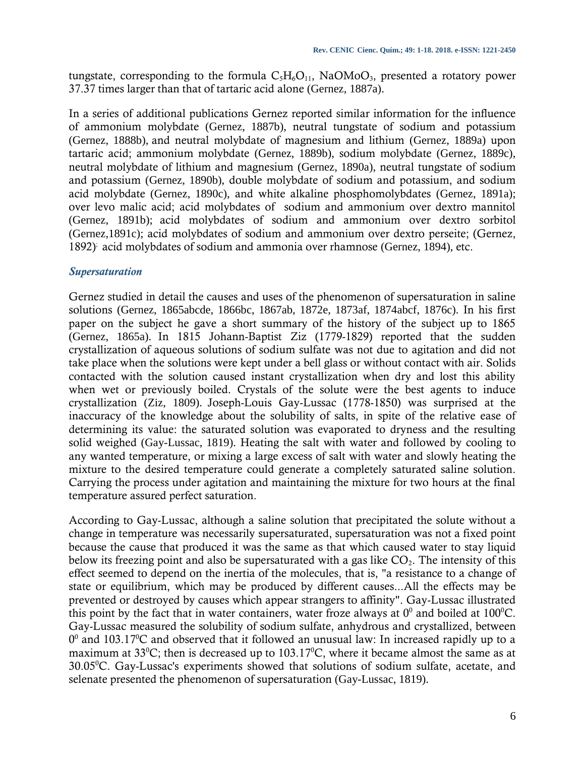tungstate, corresponding to the formula  $C_5H_6O_{11}$ , NaOMoO<sub>3</sub>, presented a rotatory power 37.37 times larger than that of tartaric acid alone (Gernez, 1887a).

In a series of additional publications Gernez reported similar information for the influence of ammonium molybdate (Gernez, 1887b), neutral tungstate of sodium and potassium (Gernez, 1888b), and neutral molybdate of magnesium and lithium (Gernez, 1889a) upon tartaric acid; ammonium molybdate (Gernez, 1889b), sodium molybdate (Gernez, 1889c), neutral molybdate of lithium and magnesium (Gernez, 1890a), neutral tungstate of sodium and potassium (Gernez, 1890b), double molybdate of sodium and potassium, and sodium acid molybdate (Gernez, 1890c), and white alkaline phosphomolybdates (Gernez, 1891a); over levo malic acid; acid molybdates of sodium and ammonium over dextro mannitol (Gernez, 1891b); acid molybdates of sodium and ammonium over dextro sorbitol (Gernez,1891c); acid molybdates of sodium and ammonium over dextro perseite; (Gernez, 1892); acid molybdates of sodium and ammonia over rhamnose (Gernez, 1894), etc.

### *Supersaturation*

Gernez studied in detail the causes and uses of the phenomenon of supersaturation in saline solutions (Gernez, 1865abcde, 1866bc, 1867ab, 1872e, 1873af, 1874abcf, 1876c). In his first paper on the subject he gave a short summary of the history of the subject up to 1865 (Gernez, 1865a). In 1815 Johann-Baptist Ziz (1779-1829) reported that the sudden crystallization of aqueous solutions of sodium sulfate was not due to agitation and did not take place when the solutions were kept under a bell glass or without contact with air. Solids contacted with the solution caused instant crystallization when dry and lost this ability when wet or previously boiled. Crystals of the solute were the best agents to induce crystallization (Ziz, 1809). Joseph-Louis Gay-Lussac (1778-1850) was surprised at the inaccuracy of the knowledge about the solubility of salts, in spite of the relative ease of determining its value: the saturated solution was evaporated to dryness and the resulting solid weighed (Gay-Lussac, 1819). Heating the salt with water and followed by cooling to any wanted temperature, or mixing a large excess of salt with water and slowly heating the mixture to the desired temperature could generate a completely saturated saline solution. Carrying the process under agitation and maintaining the mixture for two hours at the final temperature assured perfect saturation.

According to Gay-Lussac, although a saline solution that precipitated the solute without a change in temperature was necessarily supersaturated, supersaturation was not a fixed point because the cause that produced it was the same as that which caused water to stay liquid below its freezing point and also be supersaturated with a gas like  $CO<sub>2</sub>$ . The intensity of this effect seemed to depend on the inertia of the molecules, that is, "a resistance to a change of state or equilibrium, which may be produced by different causes...All the effects may be prevented or destroyed by causes which appear strangers to affinity". Gay-Lussac illustrated this point by the fact that in water containers, water froze always at  $0^0$  and boiled at  $100^0$ C. Gay-Lussac measured the solubility of sodium sulfate, anhydrous and crystallized, between  $0^0$  and 103.17<sup>o</sup>C and observed that it followed an unusual law: In increased rapidly up to a maximum at  $33^{\circ}$ C; then is decreased up to 103.17<sup>o</sup>C, where it became almost the same as at 30.05<sup>0</sup>C. Gay-Lussac's experiments showed that solutions of sodium sulfate, acetate, and selenate presented the phenomenon of supersaturation (Gay-Lussac, 1819).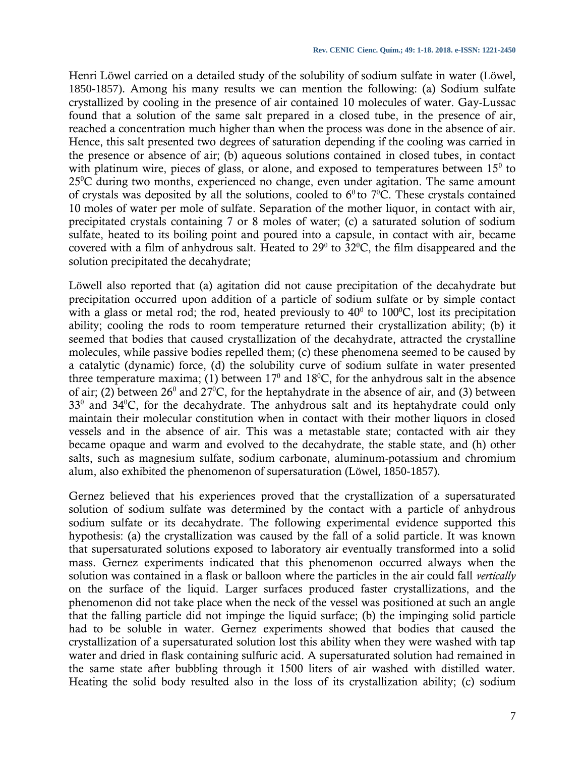Henri Löwel carried on a detailed study of the solubility of sodium sulfate in water (Löwel, 1850-1857). Among his many results we can mention the following: (a) Sodium sulfate crystallized by cooling in the presence of air contained 10 molecules of water. Gay-Lussac found that a solution of the same salt prepared in a closed tube, in the presence of air, reached a concentration much higher than when the process was done in the absence of air. Hence, this salt presented two degrees of saturation depending if the cooling was carried in the presence or absence of air; (b) aqueous solutions contained in closed tubes, in contact with platinum wire, pieces of glass, or alone, and exposed to temperatures between  $15<sup>0</sup>$  to  $25^{\circ}$ C during two months, experienced no change, even under agitation. The same amount of crystals was deposited by all the solutions, cooled to  $6^{\circ}$  to  $7^{\circ}$ C. These crystals contained 10 moles of water per mole of sulfate. Separation of the mother liquor, in contact with air, precipitated crystals containing 7 or 8 moles of water; (c) a saturated solution of sodium sulfate, heated to its boiling point and poured into a capsule, in contact with air, became covered with a film of anhydrous salt. Heated to  $29^{\circ}$  to  $32^{\circ}$ C, the film disappeared and the solution precipitated the decahydrate;

Löwell also reported that (a) agitation did not cause precipitation of the decahydrate but precipitation occurred upon addition of a particle of sodium sulfate or by simple contact with a glass or metal rod; the rod, heated previously to  $40^{\circ}$  to  $100^{\circ}$ C, lost its precipitation ability; cooling the rods to room temperature returned their crystallization ability; (b) it seemed that bodies that caused crystallization of the decahydrate, attracted the crystalline molecules, while passive bodies repelled them; (c) these phenomena seemed to be caused by a catalytic (dynamic) force, (d) the solubility curve of sodium sulfate in water presented three temperature maxima; (1) between  $17^{\circ}$  and  $18^{\circ}$ C, for the anhydrous salt in the absence of air; (2) between  $26^{\circ}$  and  $27^{\circ}$ C, for the heptahydrate in the absence of air, and (3) between  $33<sup>0</sup>$  and  $34<sup>0</sup>C$ , for the decahydrate. The anhydrous salt and its heptahydrate could only maintain their molecular constitution when in contact with their mother liquors in closed vessels and in the absence of air. This was a metastable state; contacted with air they became opaque and warm and evolved to the decahydrate, the stable state, and (h) other salts, such as magnesium sulfate, sodium carbonate, aluminum-potassium and chromium alum, also exhibited the phenomenon of supersaturation (Löwel, 1850-1857).

Gernez believed that his experiences proved that the crystallization of a supersaturated solution of sodium sulfate was determined by the contact with a particle of anhydrous sodium sulfate or its decahydrate. The following experimental evidence supported this hypothesis: (a) the crystallization was caused by the fall of a solid particle. It was known that supersaturated solutions exposed to laboratory air eventually transformed into a solid mass. Gernez experiments indicated that this phenomenon occurred always when the solution was contained in a flask or balloon where the particles in the air could fall *vertically* on the surface of the liquid. Larger surfaces produced faster crystallizations, and the phenomenon did not take place when the neck of the vessel was positioned at such an angle that the falling particle did not impinge the liquid surface; (b) the impinging solid particle had to be soluble in water. Gernez experiments showed that bodies that caused the crystallization of a supersaturated solution lost this ability when they were washed with tap water and dried in flask containing sulfuric acid. A supersaturated solution had remained in the same state after bubbling through it 1500 liters of air washed with distilled water. Heating the solid body resulted also in the loss of its crystallization ability; (c) sodium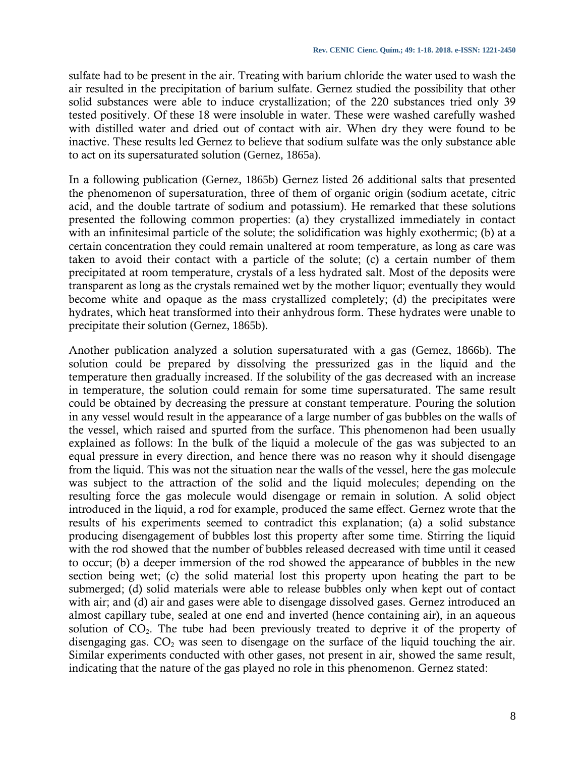sulfate had to be present in the air. Treating with barium chloride the water used to wash the air resulted in the precipitation of barium sulfate. Gernez studied the possibility that other solid substances were able to induce crystallization; of the 220 substances tried only 39 tested positively. Of these 18 were insoluble in water. These were washed carefully washed with distilled water and dried out of contact with air. When dry they were found to be inactive. These results led Gernez to believe that sodium sulfate was the only substance able to act on its supersaturated solution (Gernez, 1865a).

In a following publication (Gernez, 1865b) Gernez listed 26 additional salts that presented the phenomenon of supersaturation, three of them of organic origin (sodium acetate, citric acid, and the double tartrate of sodium and potassium). He remarked that these solutions presented the following common properties: (a) they crystallized immediately in contact with an infinitesimal particle of the solute; the solidification was highly exothermic; (b) at a certain concentration they could remain unaltered at room temperature, as long as care was taken to avoid their contact with a particle of the solute; (c) a certain number of them precipitated at room temperature, crystals of a less hydrated salt. Most of the deposits were transparent as long as the crystals remained wet by the mother liquor; eventually they would become white and opaque as the mass crystallized completely; (d) the precipitates were hydrates, which heat transformed into their anhydrous form. These hydrates were unable to precipitate their solution (Gernez, 1865b).

Another publication analyzed a solution supersaturated with a gas (Gernez, 1866b). The solution could be prepared by dissolving the pressurized gas in the liquid and the temperature then gradually increased. If the solubility of the gas decreased with an increase in temperature, the solution could remain for some time supersaturated. The same result could be obtained by decreasing the pressure at constant temperature. Pouring the solution in any vessel would result in the appearance of a large number of gas bubbles on the walls of the vessel, which raised and spurted from the surface. This phenomenon had been usually explained as follows: In the bulk of the liquid a molecule of the gas was subjected to an equal pressure in every direction, and hence there was no reason why it should disengage from the liquid. This was not the situation near the walls of the vessel, here the gas molecule was subject to the attraction of the solid and the liquid molecules; depending on the resulting force the gas molecule would disengage or remain in solution. A solid object introduced in the liquid, a rod for example, produced the same effect. Gernez wrote that the results of his experiments seemed to contradict this explanation; (a) a solid substance producing disengagement of bubbles lost this property after some time. Stirring the liquid with the rod showed that the number of bubbles released decreased with time until it ceased to occur; (b) a deeper immersion of the rod showed the appearance of bubbles in the new section being wet; (c) the solid material lost this property upon heating the part to be submerged; (d) solid materials were able to release bubbles only when kept out of contact with air; and (d) air and gases were able to disengage dissolved gases. Gernez introduced an almost capillary tube, sealed at one end and inverted (hence containing air), in an aqueous solution of  $CO<sub>2</sub>$ . The tube had been previously treated to deprive it of the property of disengaging gas.  $CO<sub>2</sub>$  was seen to disengage on the surface of the liquid touching the air. Similar experiments conducted with other gases, not present in air, showed the same result, indicating that the nature of the gas played no role in this phenomenon. Gernez stated: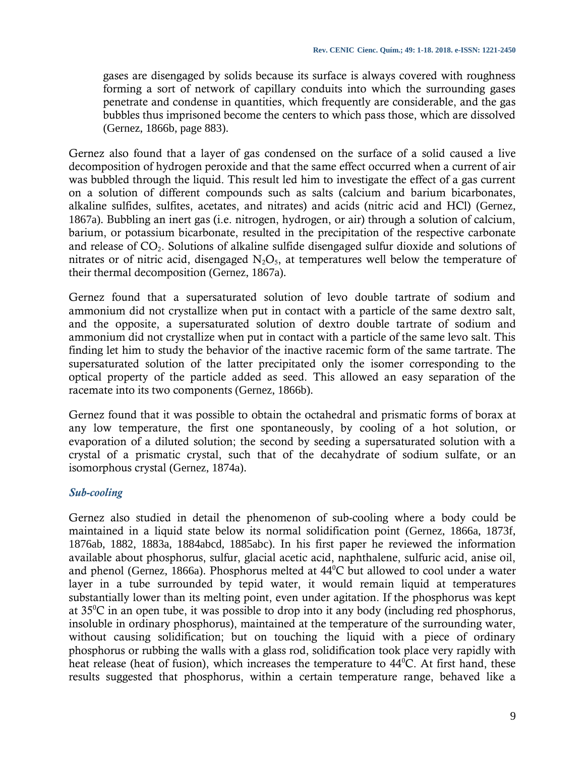gases are disengaged by solids because its surface is always covered with roughness forming a sort of network of capillary conduits into which the surrounding gases penetrate and condense in quantities, which frequently are considerable, and the gas bubbles thus imprisoned become the centers to which pass those, which are dissolved (Gernez, 1866b, page 883).

Gernez also found that a layer of gas condensed on the surface of a solid caused a live decomposition of hydrogen peroxide and that the same effect occurred when a current of air was bubbled through the liquid. This result led him to investigate the effect of a gas current on a solution of different compounds such as salts (calcium and barium bicarbonates, alkaline sulfides, sulfites, acetates, and nitrates) and acids (nitric acid and HCl) (Gernez, 1867a). Bubbling an inert gas (i.e. nitrogen, hydrogen, or air) through a solution of calcium, barium, or potassium bicarbonate, resulted in the precipitation of the respective carbonate and release of CO2. Solutions of alkaline sulfide disengaged sulfur dioxide and solutions of nitrates or of nitric acid, disengaged  $N_2O_5$ , at temperatures well below the temperature of their thermal decomposition (Gernez, 1867a).

Gernez found that a supersaturated solution of levo double tartrate of sodium and ammonium did not crystallize when put in contact with a particle of the same dextro salt, and the opposite, a supersaturated solution of dextro double tartrate of sodium and ammonium did not crystallize when put in contact with a particle of the same levo salt. This finding let him to study the behavior of the inactive racemic form of the same tartrate. The supersaturated solution of the latter precipitated only the isomer corresponding to the optical property of the particle added as seed. This allowed an easy separation of the racemate into its two components (Gernez, 1866b).

Gernez found that it was possible to obtain the octahedral and prismatic forms of borax at any low temperature, the first one spontaneously, by cooling of a hot solution, or evaporation of a diluted solution; the second by seeding a supersaturated solution with a crystal of a prismatic crystal, such that of the decahydrate of sodium sulfate, or an isomorphous crystal (Gernez, 1874a).

# *Sub-cooling*

Gernez also studied in detail the phenomenon of sub-cooling where a body could be maintained in a liquid state below its normal solidification point (Gernez, 1866a, 1873f, 1876ab, 1882, 1883a, 1884abcd, 1885abc). In his first paper he reviewed the information available about phosphorus, sulfur, glacial acetic acid, naphthalene, sulfuric acid, anise oil, and phenol (Gernez, 1866a). Phosphorus melted at  $44^{\circ}$ C but allowed to cool under a water layer in a tube surrounded by tepid water, it would remain liquid at temperatures substantially lower than its melting point, even under agitation. If the phosphorus was kept at 35<sup>0</sup>C in an open tube, it was possible to drop into it any body (including red phosphorus, insoluble in ordinary phosphorus), maintained at the temperature of the surrounding water, without causing solidification; but on touching the liquid with a piece of ordinary phosphorus or rubbing the walls with a glass rod, solidification took place very rapidly with heat release (heat of fusion), which increases the temperature to  $44^{\circ}$ C. At first hand, these results suggested that phosphorus, within a certain temperature range, behaved like a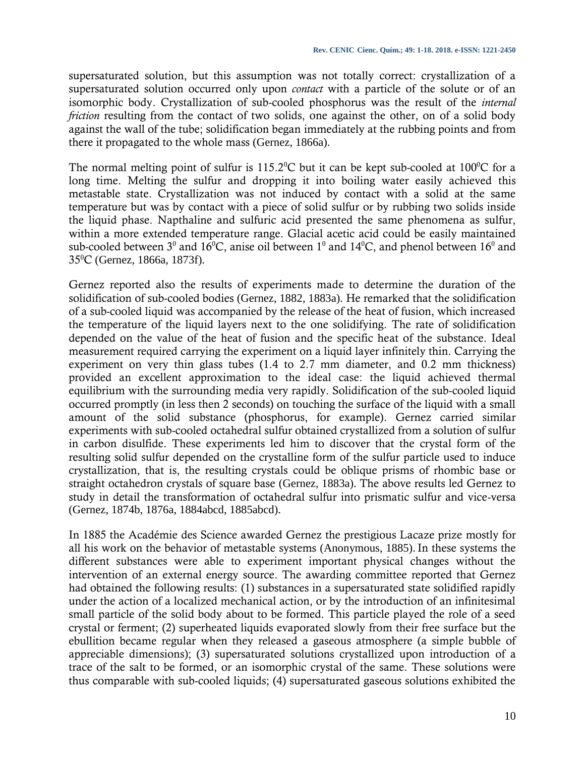supersaturated solution, but this assumption was not totally correct: crystallization of a supersaturated solution occurred only upon *contact* with a particle of the solute or of an isomorphic body. Crystallization of sub-cooled phosphorus was the result of the *internal friction* resulting from the contact of two solids, one against the other, on of a solid body against the wall of the tube; solidification began immediately at the rubbing points and from there it propagated to the whole mass (Gernez, 1866a).

The normal melting point of sulfur is  $115.2^{\circ}$ C but it can be kept sub-cooled at  $100^{\circ}$ C for a long time. Melting the sulfur and dropping it into boiling water easily achieved this metastable state. Crystallization was not induced by contact with a solid at the same temperature but was by contact with a piece of solid sulfur or by rubbing two solids inside the liquid phase. Napthaline and sulfuric acid presented the same phenomena as sulfur, within a more extended temperature range. Glacial acetic acid could be easily maintained sub-cooled between  $3^0$  and  $16^0$ C, anise oil between  $1^0$  and  $14^0$ C, and phenol between  $16^0$  and 35<sup>0</sup>C (Gernez, 1866a, 1873f).

Gernez reported also the results of experiments made to determine the duration of the solidification of sub-cooled bodies (Gernez, 1882, 1883a). He remarked that the solidification of a sub-cooled liquid was accompanied by the release of the heat of fusion, which increased the temperature of the liquid layers next to the one solidifying. The rate of solidification depended on the value of the heat of fusion and the specific heat of the substance. Ideal measurement required carrying the experiment on a liquid layer infinitely thin. Carrying the experiment on very thin glass tubes (1.4 to 2.7 mm diameter, and 0.2 mm thickness) provided an excellent approximation to the ideal case: the liquid achieved thermal equilibrium with the surrounding media very rapidly. Solidification of the sub-cooled liquid occurred promptly (in less then 2 seconds) on touching the surface of the liquid with a small amount of the solid substance (phosphorus, for example). Gernez carried similar experiments with sub-cooled octahedral sulfur obtained crystallized from a solution of sulfur in carbon disulfide. These experiments led him to discover that the crystal form of the resulting solid sulfur depended on the crystalline form of the sulfur particle used to induce crystallization, that is, the resulting crystals could be oblique prisms of rhombic base or straight octahedron crystals of square base (Gernez, 1883a). The above results led Gernez to study in detail the transformation of octahedral sulfur into prismatic sulfur and vice-versa (Gernez, 1874b, 1876a, 1884abcd, 1885abcd).

In 1885 the Académie des Science awarded Gernez the prestigious Lacaze prize mostly for all his work on the behavior of metastable systems (Anonymous, 1885).In these systems the different substances were able to experiment important physical changes without the intervention of an external energy source. The awarding committee reported that Gernez had obtained the following results: (1) substances in a supersaturated state solidified rapidly under the action of a localized mechanical action, or by the introduction of an infinitesimal small particle of the solid body about to be formed. This particle played the role of a seed crystal or ferment; (2) superheated liquids evaporated slowly from their free surface but the ebullition became regular when they released a gaseous atmosphere (a simple bubble of appreciable dimensions); (3) supersaturated solutions crystallized upon introduction of a trace of the salt to be formed, or an isomorphic crystal of the same. These solutions were thus comparable with sub-cooled liquids; (4) supersaturated gaseous solutions exhibited the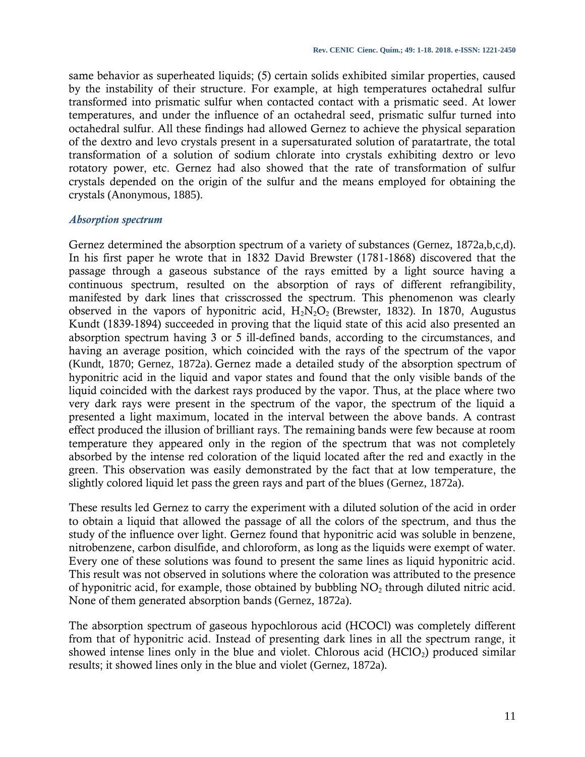same behavior as superheated liquids; (5) certain solids exhibited similar properties, caused by the instability of their structure. For example, at high temperatures octahedral sulfur transformed into prismatic sulfur when contacted contact with a prismatic seed. At lower temperatures, and under the influence of an octahedral seed, prismatic sulfur turned into octahedral sulfur. All these findings had allowed Gernez to achieve the physical separation of the dextro and levo crystals present in a supersaturated solution of paratartrate, the total transformation of a solution of sodium chlorate into crystals exhibiting dextro or levo rotatory power, etc. Gernez had also showed that the rate of transformation of sulfur crystals depended on the origin of the sulfur and the means employed for obtaining the crystals (Anonymous, 1885).

### *Absorption spectrum*

Gernez determined the absorption spectrum of a variety of substances (Gernez, 1872a,b,c,d). In his first paper he wrote that in 1832 David Brewster (1781-1868) discovered that the passage through a gaseous substance of the rays emitted by a light source having a continuous spectrum, resulted on the absorption of rays of different refrangibility, manifested by dark lines that crisscrossed the spectrum. This phenomenon was clearly observed in the vapors of hyponitric acid,  $H_2N_2O_2$  (Brewster, 1832). In 1870, Augustus Kundt (1839-1894) succeeded in proving that the liquid state of this acid also presented an absorption spectrum having 3 or 5 ill-defined bands, according to the circumstances, and having an average position, which coincided with the rays of the spectrum of the vapor (Kundt, 1870; Gernez, 1872a). Gernez made a detailed study of the absorption spectrum of hyponitric acid in the liquid and vapor states and found that the only visible bands of the liquid coincided with the darkest rays produced by the vapor. Thus, at the place where two very dark rays were present in the spectrum of the vapor, the spectrum of the liquid a presented a light maximum, located in the interval between the above bands. A contrast effect produced the illusion of brilliant rays. The remaining bands were few because at room temperature they appeared only in the region of the spectrum that was not completely absorbed by the intense red coloration of the liquid located after the red and exactly in the green. This observation was easily demonstrated by the fact that at low temperature, the slightly colored liquid let pass the green rays and part of the blues (Gernez, 1872a).

These results led Gernez to carry the experiment with a diluted solution of the acid in order to obtain a liquid that allowed the passage of all the colors of the spectrum, and thus the study of the influence over light. Gernez found that hyponitric acid was soluble in benzene, nitrobenzene, carbon disulfide, and chloroform, as long as the liquids were exempt of water. Every one of these solutions was found to present the same lines as liquid hyponitric acid. This result was not observed in solutions where the coloration was attributed to the presence of hyponitric acid, for example, those obtained by bubbling  $NO<sub>2</sub>$  through diluted nitric acid. None of them generated absorption bands (Gernez, 1872a).

The absorption spectrum of gaseous hypochlorous acid (HCOCl) was completely different from that of hyponitric acid. Instead of presenting dark lines in all the spectrum range, it showed intense lines only in the blue and violet. Chlorous acid  $(HClO<sub>2</sub>)$  produced similar results; it showed lines only in the blue and violet (Gernez, 1872a).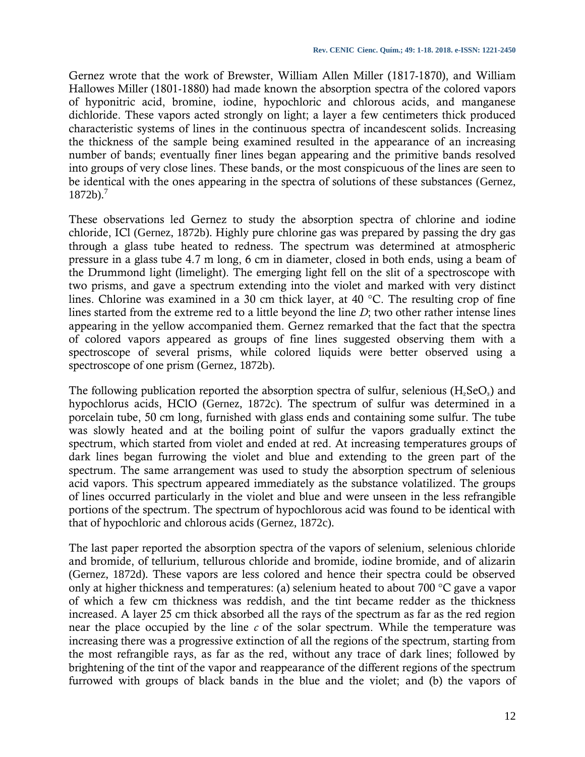Gernez wrote that the work of Brewster, William Allen Miller (1817-1870), and William Hallowes Miller (1801-1880) had made known the absorption spectra of the colored vapors of hyponitric acid, bromine, iodine, hypochloric and chlorous acids, and manganese dichloride. These vapors acted strongly on light; a layer a few centimeters thick produced characteristic systems of lines in the continuous spectra of incandescent solids. Increasing the thickness of the sample being examined resulted in the appearance of an increasing number of bands; eventually finer lines began appearing and the primitive bands resolved into groups of very close lines. These bands, or the most conspicuous of the lines are seen to be identical with the ones appearing in the spectra of solutions of these substances (Gernez,  $1872b$ ).<sup>7</sup>

These observations led Gernez to study the absorption spectra of chlorine and iodine chloride, ICl (Gernez, 1872b). Highly pure chlorine gas was prepared by passing the dry gas through a glass tube heated to redness. The spectrum was determined at atmospheric pressure in a glass tube 4.7 m long, 6 cm in diameter, closed in both ends, using a beam of the Drummond light (limelight). The emerging light fell on the slit of a spectroscope with two prisms, and gave a spectrum extending into the violet and marked with very distinct lines. Chlorine was examined in a 30 cm thick layer, at 40 °C. The resulting crop of fine lines started from the extreme red to a little beyond the line *D*; two other rather intense lines appearing in the yellow accompanied them. Gernez remarked that the fact that the spectra of colored vapors appeared as groups of fine lines suggested observing them with a spectroscope of several prisms, while colored liquids were better observed using a spectroscope of one prism (Gernez, 1872b).

The following publication reported the absorption spectra of sulfur, selenious ( $H_2$ SeO<sub>3</sub>) and hypochlorus acids, HClO (Gernez, 1872c). The spectrum of sulfur was determined in a porcelain tube, 50 cm long, furnished with glass ends and containing some sulfur. The tube was slowly heated and at the boiling point of sulfur the vapors gradually extinct the spectrum, which started from violet and ended at red. At increasing temperatures groups of dark lines began furrowing the violet and blue and extending to the green part of the spectrum. The same arrangement was used to study the absorption spectrum of selenious acid vapors. This spectrum appeared immediately as the substance volatilized. The groups of lines occurred particularly in the violet and blue and were unseen in the less refrangible portions of the spectrum. The spectrum of hypochlorous acid was found to be identical with that of hypochloric and chlorous acids (Gernez, 1872c).

The last paper reported the absorption spectra of the vapors of selenium, selenious chloride and bromide, of tellurium, tellurous chloride and bromide, iodine bromide, and of alizarin (Gernez, 1872d). These vapors are less colored and hence their spectra could be observed only at higher thickness and temperatures: (a) selenium heated to about 700 °C gave a vapor of which a few cm thickness was reddish, and the tint became redder as the thickness increased. A layer 25 cm thick absorbed all the rays of the spectrum as far as the red region near the place occupied by the line *c* of the solar spectrum. While the temperature was increasing there was a progressive extinction of all the regions of the spectrum, starting from the most refrangible rays, as far as the red, without any trace of dark lines; followed by brightening of the tint of the vapor and reappearance of the different regions of the spectrum furrowed with groups of black bands in the blue and the violet; and (b) the vapors of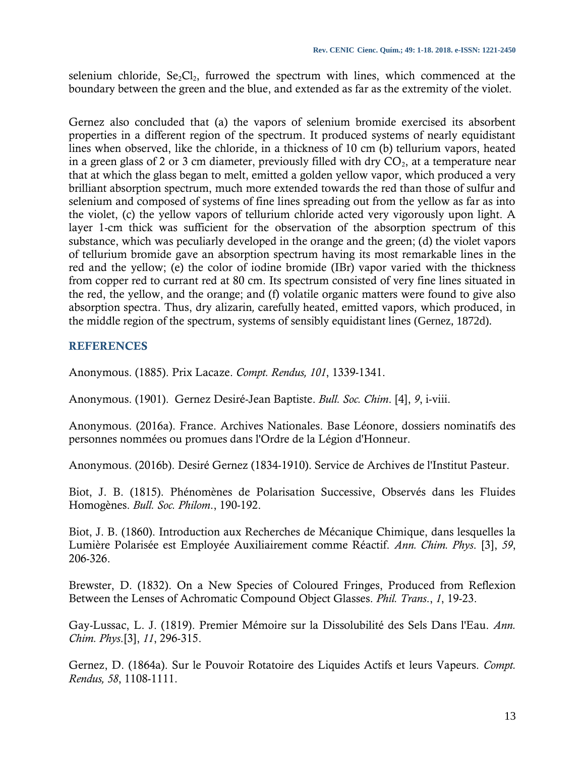selenium chloride,  $\text{Se}_2\text{Cl}_2$ , furrowed the spectrum with lines, which commenced at the boundary between the green and the blue, and extended as far as the extremity of the violet.

Gernez also concluded that (a) the vapors of selenium bromide exercised its absorbent properties in a different region of the spectrum. It produced systems of nearly equidistant lines when observed, like the chloride, in a thickness of 10 cm (b) tellurium vapors, heated in a green glass of 2 or 3 cm diameter, previously filled with dry  $CO<sub>2</sub>$ , at a temperature near that at which the glass began to melt, emitted a golden yellow vapor, which produced a very brilliant absorption spectrum, much more extended towards the red than those of sulfur and selenium and composed of systems of fine lines spreading out from the yellow as far as into the violet, (c) the yellow vapors of tellurium chloride acted very vigorously upon light. A layer 1-cm thick was sufficient for the observation of the absorption spectrum of this substance, which was peculiarly developed in the orange and the green; (d) the violet vapors of tellurium bromide gave an absorption spectrum having its most remarkable lines in the red and the yellow; (e) the color of iodine bromide (IBr) vapor varied with the thickness from copper red to currant red at 80 cm. Its spectrum consisted of very fine lines situated in the red, the yellow, and the orange; and (f) volatile organic matters were found to give also absorption spectra. Thus, dry alizarin*,* carefully heated, emitted vapors, which produced, in the middle region of the spectrum, systems of sensibly equidistant lines (Gernez, 1872d).

# **REFERENCES**

Anonymous. (1885). Prix Lacaze. *Compt. Rendus, 101*, 1339-1341.

Anonymous. (1901). Gernez Desiré-Jean Baptiste. *Bull. Soc. Chim*. [4], *9*, i-viii.

Anonymous. (2016a). France. Archives Nationales. Base Léonore, dossiers nominatifs des personnes nommées ou promues dans l'Ordre de la Légion d'Honneur.

Anonymous. (2016b). Desiré Gernez (1834-1910). Service de Archives de l'Institut Pasteur.

Biot, J. B. (1815). Phénomènes de Polarisation Successive, Observés dans les Fluides Homogènes. *Bull. Soc. Philom*., 190-192.

Biot, J. B. (1860). Introduction aux Recherches de Mécanique Chimique, dans lesquelles la Lumière Polarisée est Employée Auxiliairement comme Réactif. *Ann. Chim. Phys*. [3], *59*, 206-326.

Brewster, D. (1832). On a New Species of Coloured Fringes, Produced from Reflexion Between the Lenses of Achromatic Compound Object Glasses. *Phil. Trans*., *1*, 19-23.

Gay-Lussac, L. J. (1819). Premier Mémoire sur la Dissolubilité des Sels Dans l'Eau. *Ann. Chim. Phys*.[3], *11*, 296-315.

Gernez, D. (1864a). Sur le Pouvoir Rotatoire des Liquides Actifs et leurs Vapeurs. *Compt. Rendus, 58*, 1108-1111.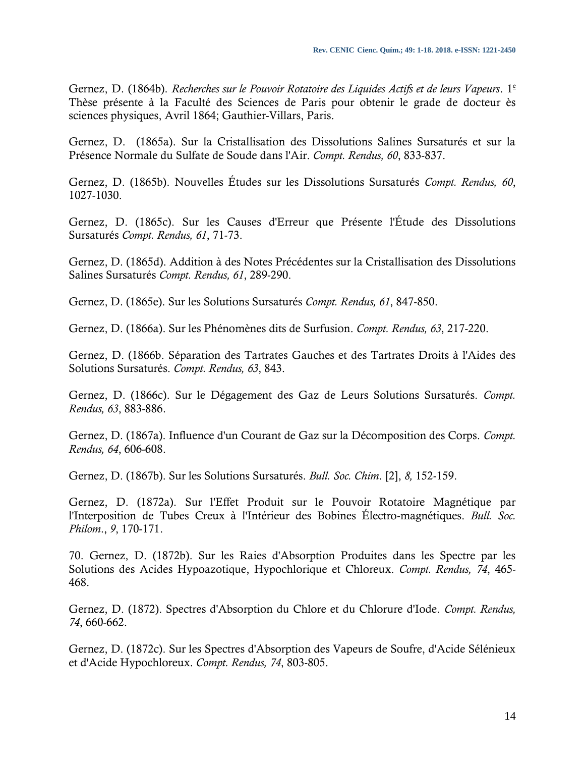Gernez, D. (1864b). *Recherches sur le Pouvoir Rotatoire des Liquides Actifs et de leurs Vapeurs*. 1 e Thèse présente à la Faculté des Sciences de Paris pour obtenir le grade de docteur ès sciences physiques, Avril 1864; Gauthier-Villars, Paris.

Gernez, D. (1865a). Sur la Cristallisation des Dissolutions Salines Sursaturés et sur la Présence Normale du Sulfate de Soude dans l'Air. *Compt. Rendus, 60*, 833-837.

Gernez, D. (1865b). Nouvelles Études sur les Dissolutions Sursaturés *Compt. Rendus, 60*, 1027-1030.

Gernez, D. (1865c). Sur les Causes d'Erreur que Présente l'Étude des Dissolutions Sursaturés *Compt. Rendus, 61*, 71-73.

Gernez, D. (1865d). Addition à des Notes Précédentes sur la Cristallisation des Dissolutions Salines Sursaturés *Compt. Rendus, 61*, 289-290.

Gernez, D. (1865e). Sur les Solutions Sursaturés *Compt. Rendus, 61*, 847-850.

Gernez, D. (1866a). Sur les Phénomènes dits de Surfusion. *Compt. Rendus, 63*, 217-220.

Gernez, D. (1866b. Séparation des Tartrates Gauches et des Tartrates Droits à l'Aides des Solutions Sursaturés. *Compt. Rendus, 63*, 843.

Gernez, D. (1866c). Sur le Dégagement des Gaz de Leurs Solutions Sursaturés. *Compt. Rendus, 63*, 883-886.

Gernez, D. (1867a). Influence d'un Courant de Gaz sur la Décomposition des Corps. *Compt. Rendus, 64*, 606-608.

Gernez, D. (1867b). Sur les Solutions Sursaturés. *Bull. Soc. Chim*. [2], *8,* 152-159.

Gernez, D. (1872a). Sur l'Effet Produit sur le Pouvoir Rotatoire Magnétique par l'Interposition de Tubes Creux à l'Intérieur des Bobines Électro-magnétiques. *Bull. Soc. Philom*., *9*, 170-171.

70. Gernez, D. (1872b). Sur les Raies d'Absorption Produites dans les Spectre par les Solutions des Acides Hypoazotique, Hypochlorique et Chloreux. *Compt. Rendus, 74*, 465- 468.

Gernez, D. (1872). Spectres d'Absorption du Chlore et du Chlorure d'Iode. *Compt. Rendus, 74*, 660-662.

Gernez, D. (1872c). Sur les Spectres d'Absorption des Vapeurs de Soufre, d'Acide Sélénieux et d'Acide Hypochloreux. *Compt. Rendus, 74*, 803-805.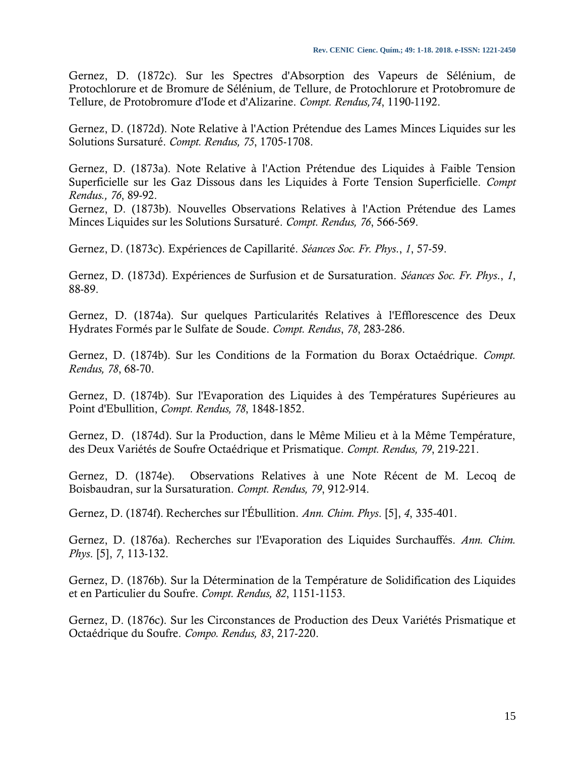Gernez, D. (1872c). Sur les Spectres d'Absorption des Vapeurs de Sélénium, de Protochlorure et de Bromure de Sélénium, de Tellure, de Protochlorure et Protobromure de Tellure, de Protobromure d'Iode et d'Alizarine. *Compt. Rendus,74*, 1190-1192.

Gernez, D. (1872d). Note Relative à l'Action Prétendue des Lames Minces Liquides sur les Solutions Sursaturé. *Compt. Rendus, 75*, 1705-1708.

Gernez, D. (1873a). Note Relative à l'Action Prétendue des Liquides à Faible Tension Superficielle sur les Gaz Dissous dans les Liquides à Forte Tension Superficielle. *Compt Rendus., 76*, 89-92.

Gernez, D. (1873b). Nouvelles Observations Relatives à l'Action Prétendue des Lames Minces Liquides sur les Solutions Sursaturé. *Compt. Rendus, 76*, 566-569.

Gernez, D. (1873c). Expériences de Capillarité. *Séances Soc. Fr. Phys*., *1*, 57-59.

Gernez, D. (1873d). Expériences de Surfusion et de Sursaturation. *Séances Soc. Fr. Phys*., *1*, 88-89.

Gernez, D. (1874a). Sur quelques Particularités Relatives à l'Efflorescence des Deux Hydrates Formés par le Sulfate de Soude. *Compt. Rendus*, *78*, 283-286.

Gernez, D. (1874b). Sur les Conditions de la Formation du Borax Octaédrique. *Compt. Rendus, 78*, 68-70.

Gernez, D. (1874b). Sur l'Evaporation des Liquides à des Températures Supérieures au Point d'Ebullition, *Compt. Rendus, 78*, 1848-1852.

Gernez, D. (1874d). Sur la Production, dans le Même Milieu et à la Même Température, des Deux Variétés de Soufre Octaédrique et Prismatique. *Compt. Rendus, 79*, 219-221.

Gernez, D. (1874e). Observations Relatives à une Note Récent de M. Lecoq de Boisbaudran, sur la Sursaturation. *Compt. Rendus, 79*, 912-914.

Gernez, D. (1874f). Recherches sur l'Ébullition. *Ann. Chim. Phys*. [5], *4*, 335-401.

Gernez, D. (1876a). Recherches sur l'Evaporation des Liquides Surchauffés. *Ann. Chim. Phys*. [5], *7*, 113-132.

Gernez, D. (1876b). Sur la Détermination de la Température de Solidification des Liquides et en Particulier du Soufre. *Compt. Rendus, 82*, 1151-1153.

Gernez, D. (1876c). Sur les Circonstances de Production des Deux Variétés Prismatique et Octaédrique du Soufre. *Compo. Rendus, 83*, 217-220.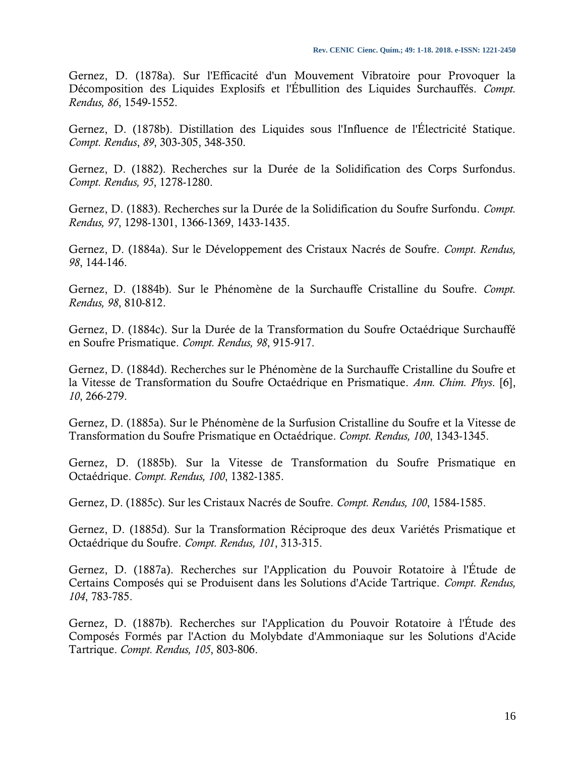Gernez, D. (1878a). Sur l'Efficacité d'un Mouvement Vibratoire pour Provoquer la Décomposition des Liquides Explosifs et l'Ébullition des Liquides Surchauffés. *Compt. Rendus, 86*, 1549-1552.

Gernez, D. (1878b). Distillation des Liquides sous l'Influence de l'Électricité Statique. *Compt. Rendus*, *89*, 303-305, 348-350.

Gernez, D. (1882). Recherches sur la Durée de la Solidification des Corps Surfondus. *Compt. Rendus, 95*, 1278-1280.

Gernez, D. (1883). Recherches sur la Durée de la Solidification du Soufre Surfondu. *Compt. Rendus, 97*, 1298-1301, 1366-1369, 1433-1435.

Gernez, D. (1884a). Sur le Développement des Cristaux Nacrés de Soufre. *Compt. Rendus, 98*, 144-146.

Gernez, D. (1884b). Sur le Phénomène de la Surchauffe Cristalline du Soufre. *Compt. Rendus, 98*, 810-812.

Gernez, D. (1884c). Sur la Durée de la Transformation du Soufre Octaédrique Surchauffé en Soufre Prismatique. *Compt. Rendus, 98*, 915-917.

Gernez, D. (1884d). Recherches sur le Phénomène de la Surchauffe Cristalline du Soufre et la Vitesse de Transformation du Soufre Octaédrique en Prismatique. *Ann. Chim. Phys*. [6], *10*, 266-279.

Gernez, D. (1885a). Sur le Phénomène de la Surfusion Cristalline du Soufre et la Vitesse de Transformation du Soufre Prismatique en Octaédrique. *Compt. Rendus, 100*, 1343-1345.

Gernez, D. (1885b). Sur la Vitesse de Transformation du Soufre Prismatique en Octaédrique. *Compt. Rendus, 100*, 1382-1385.

Gernez, D. (1885c). Sur les Cristaux Nacrés de Soufre. *Compt. Rendus, 100*, 1584-1585.

Gernez, D. (1885d). Sur la Transformation Réciproque des deux Variétés Prismatique et Octaédrique du Soufre. *Compt. Rendus, 101*, 313-315.

Gernez, D. (1887a). Recherches sur l'Application du Pouvoir Rotatoire à l'Étude de Certains Composés qui se Produisent dans les Solutions d'Acide Tartrique. *Compt. Rendus, 104*, 783-785.

Gernez, D. (1887b). Recherches sur l'Application du Pouvoir Rotatoire à l'Étude des Composés Formés par l'Action du Molybdate d'Ammoniaque sur les Solutions d'Acide Tartrique. *Compt. Rendus, 105*, 803-806.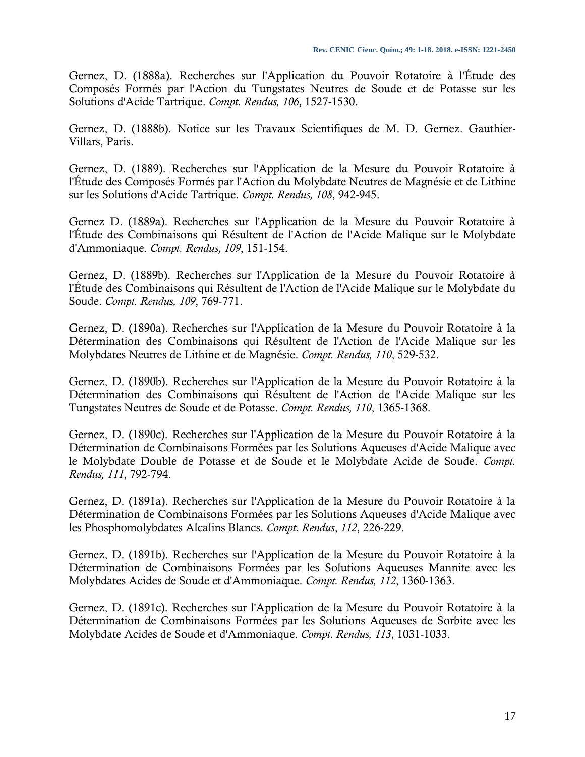Gernez, D. (1888a). Recherches sur l'Application du Pouvoir Rotatoire à l'Étude des Composés Formés par l'Action du Tungstates Neutres de Soude et de Potasse sur les Solutions d'Acide Tartrique. *Compt. Rendus, 106*, 1527-1530.

Gernez, D. (1888b). Notice sur les Travaux Scientifiques de M. D. Gernez. Gauthier-Villars, Paris.

Gernez, D. (1889). Recherches sur l'Application de la Mesure du Pouvoir Rotatoire à l'Étude des Composés Formés par l'Action du Molybdate Neutres de Magnésie et de Lithine sur les Solutions d'Acide Tartrique. *Compt. Rendus, 108*, 942-945.

Gernez D. (1889a). Recherches sur l'Application de la Mesure du Pouvoir Rotatoire à l'Étude des Combinaisons qui Résultent de l'Action de l'Acide Malique sur le Molybdate d'Ammoniaque. *Compt. Rendus, 109*, 151-154.

Gernez, D. (1889b). Recherches sur l'Application de la Mesure du Pouvoir Rotatoire à l'Étude des Combinaisons qui Résultent de l'Action de l'Acide Malique sur le Molybdate du Soude. *Compt. Rendus, 109*, 769-771.

Gernez, D. (1890a). Recherches sur l'Application de la Mesure du Pouvoir Rotatoire à la Détermination des Combinaisons qui Résultent de l'Action de l'Acide Malique sur les Molybdates Neutres de Lithine et de Magnésie. *Compt. Rendus, 110*, 529-532.

Gernez, D. (1890b). Recherches sur l'Application de la Mesure du Pouvoir Rotatoire à la Détermination des Combinaisons qui Résultent de l'Action de l'Acide Malique sur les Tungstates Neutres de Soude et de Potasse. *Compt. Rendus, 110*, 1365-1368.

Gernez, D. (1890c). Recherches sur l'Application de la Mesure du Pouvoir Rotatoire à la Détermination de Combinaisons Formées par les Solutions Aqueuses d'Acide Malique avec le Molybdate Double de Potasse et de Soude et le Molybdate Acide de Soude. *Compt. Rendus, 111*, 792-794.

Gernez, D. (1891a). Recherches sur l'Application de la Mesure du Pouvoir Rotatoire à la Détermination de Combinaisons Formées par les Solutions Aqueuses d'Acide Malique avec les Phosphomolybdates Alcalins Blancs. *Compt. Rendus*, *112*, 226-229.

Gernez, D. (1891b). Recherches sur l'Application de la Mesure du Pouvoir Rotatoire à la Détermination de Combinaisons Formées par les Solutions Aqueuses Mannite avec les Molybdates Acides de Soude et d'Ammoniaque. *Compt. Rendus, 112*, 1360-1363.

Gernez, D. (1891c). Recherches sur l'Application de la Mesure du Pouvoir Rotatoire à la Détermination de Combinaisons Formées par les Solutions Aqueuses de Sorbite avec les Molybdate Acides de Soude et d'Ammoniaque. *Compt. Rendus, 113*, 1031-1033.